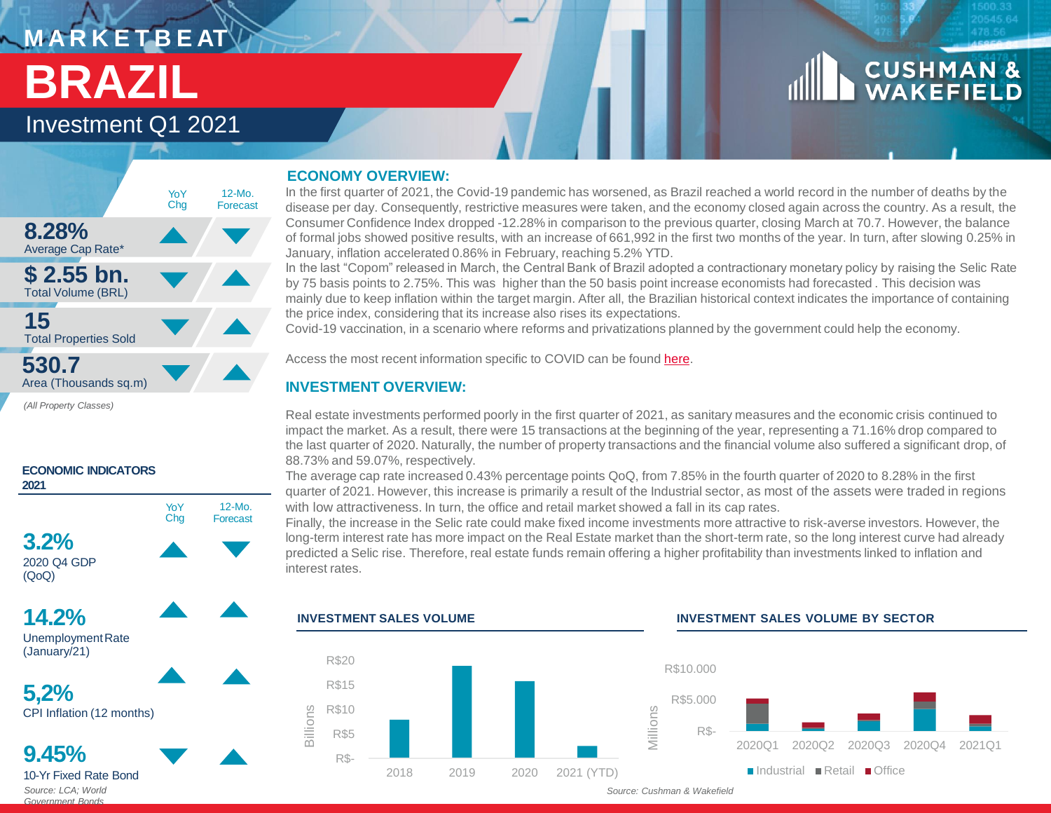# $\sim$  <code>MARKETBEAT</code> **BRAZIL**

## Investment Q1 2021



*(All Property Classes)* 



### **ECONOMY OVERVIEW:**

In the first quarter of 2021, the Covid-19 pandemic has worsened, as Brazil reached a world record in the number of deaths by the disease per day. Consequently, restrictive measures were taken, and the economy closed again across the country. As a result, the Consumer Confidence Index dropped -12.28% in comparison to the previous quarter, closing March at 70.7. However, the balance of formal jobs showed positive results, with an increase of 661,992 in the first two months of the year. In turn, after slowing 0.25% in January, inflation accelerated 0.86% in February, reaching 5.2% YTD.

In the last "Copom" released in March, the Central Bank of Brazil adopted a contractionary monetary policy by raising the Selic Rate by 75 basis points to 2.75%. This was higher than the 50 basis point increase economists had forecasted . This decision was mainly due to keep inflation within the target margin. After all, the Brazilian historical context indicates the importance of containing the price index, considering that its increase also rises its expectations.

Covid-19 vaccination, in a scenario where reforms and privatizations planned by the government could help the economy.

Access the most recent information specific to COVID can be found [here.](https://www.cushmanwakefield.com/en/insights/covid-19/policy-watch-economic-measures-across-top-global-economies)

### **INVESTMENT OVERVIEW:**

Real estate investments performed poorly in the first quarter of 2021, as sanitary measures and the economic crisis continued to impact the market. As a result, there were 15 transactions at the beginning of the year, representing a 71.16% drop compared to the last quarter of 2020. Naturally, the number of property transactions and the financial volume also suffered a significant drop, of 88.73% and 59.07%, respectively.

The average cap rate increased 0.43% percentage points QoQ, from 7.85% in the fourth quarter of 2020 to 8.28% in the first quarter of 2021. However, this increase is primarily a result of the Industrial sector, as most of the assets were traded in regions with low attractiveness. In turn, the office and retail market showed a fall in its cap rates.

Finally, the increase in the Selic rate could make fixed income investments more attractive to risk-averse investors. However, the long-term interest rate has more impact on the Real Estate market than the short-term rate, so the long interest curve had already predicted a Selic rise. Therefore, real estate funds remain offering a higher profitability than investments linked to inflation and interest rates.



#### **INVESTMENT SALES VOLUME INVESTMENT SALES VOLUME BY SECTOR**



**CUSHMAN &**<br>WAKEFIELD

*Source: LCA; World Government Bonds*

10-Yr Fixed Rate Bond